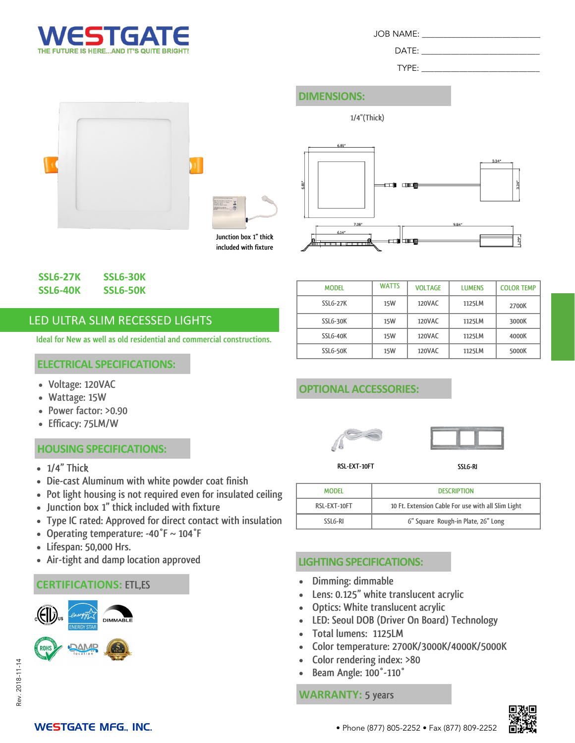

DATE:

TYPE:

# **DIMENSIONS:**

**1/4"(Thick)**





**included with fixture**



## **SSL6-27K SSL6-30K SSL6-40K SSL6-50K**

# LED ULTRA SLIM RECESSED LIGHTS

**Ideal for New as well as old residential and commercial constructions.**

#### **ELECTRICAL SPECIFICATIONS:**

- **Voltage: 120VAC**
- **Wattage: 15W**
- **Power factor: >0.90**
- **Efficacy: 75LM/W**

## **HOUSING SPECIFICATIONS:**

- **1/4" Thick**
- **Die-cast Aluminum with white powder coat finish**
- **Pot light housing is not required even for insulated ceiling**
- **Junction box 1" thick included with fixture**
- **Type IC rated: Approved for direct contact with insulation**
- **Operating temperature: -40°F ~ 104°F**
- **Lifespan: 50,000 Hrs.**
- **Air-tight and damp location approved**

## **CERTIFICATIONS: ETL,ES**







| <b>MODEL</b>    | <b>WATTS</b> | <b>VOLTAGE</b> | <b>LUMENS</b> | <b>COLOR TEMP</b> |
|-----------------|--------------|----------------|---------------|-------------------|
| <b>SSL6-27K</b> | 15W          | <b>120VAC</b>  | 1125LM        | 2700K             |
| SSLG-30K        | 15W          | <b>120VAC</b>  | 1125LM        | 3000K             |
| SSLG-40K        | 15W          | <b>120VAC</b>  | 1125LM        | 4000K             |
| SSLG-50K        | <b>15W</b>   | <b>120VAC</b>  | 1125LM        | 5000K             |

## **OPTIONAL ACCESSORIES:**





**RSL-EXT-10FT**

**SSL6-RI**

| <b>MODEL</b> | <b>DESCRIPTION</b>                                 |  |
|--------------|----------------------------------------------------|--|
| RSL-EXT-10FT | 10 Ft. Extension Cable For use with all Slim Light |  |
| SSLG-RI      | 6" Square Rough-in Plate, 26" Long                 |  |

## **LIGHTING SPECIFICATIONS:**

- **Dimming: dimmable**
- **Lens: 0.125" white translucent acrylic**
- **Optics: White translucent acrylic**
- **LED: Seoul DOB (Driver On Board) Technology**
- **Total lumens: 1125LM**
- **Color temperature: 2700K/3000K/4000K/5000K**
- **Color rendering index: >80**
- **Beam Angle: 100°-110°**

**WARRANTY: 5 years**